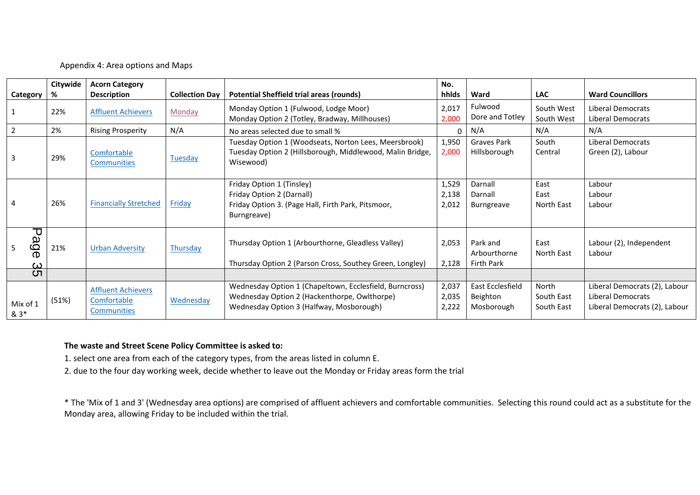### Appendix 4: Area options and Maps

| Category                     | Citywide<br>% | <b>Acorn Category</b><br><b>Description</b>             | <b>Collection Day</b> | Potential Sheffield trial areas (rounds)                                                                                                            | No.<br>hhids            | Ward                                       | <b>LAC</b>                        | <b>Ward Councillors</b>                                                             |
|------------------------------|---------------|---------------------------------------------------------|-----------------------|-----------------------------------------------------------------------------------------------------------------------------------------------------|-------------------------|--------------------------------------------|-----------------------------------|-------------------------------------------------------------------------------------|
| 1                            | 22%           | <b>Affluent Achievers</b>                               | Monday                | Monday Option 1 (Fulwood, Lodge Moor)<br>Monday Option 2 (Totley, Bradway, Millhouses)                                                              | 2,017<br>2,000          | Fulwood<br>Dore and Totley                 | South West<br>South West          | <b>Liberal Democrats</b><br>Liberal Democrats                                       |
| $\overline{2}$               | 2%            | <b>Rising Prosperity</b>                                | N/A                   | No areas selected due to small %                                                                                                                    | $\mathbf{0}$            | N/A                                        | N/A                               | N/A                                                                                 |
| 3                            | 29%           | Comfortable<br><b>Communities</b>                       | <b>Tuesday</b>        | Tuesday Option 1 (Woodseats, Norton Lees, Meersbrook)<br>Tuesday Option 2 (Hillsborough, Middlewood, Malin Bridge,<br>Wisewood)                     | 1,950<br>2,000          | Graves Park<br>Hillsborough                | South<br>Central                  | <b>Liberal Democrats</b><br>Green (2), Labour                                       |
|                              | 26%           | <b>Financially Stretched</b>                            | Friday                | Friday Option 1 (Tinsley)<br>Friday Option 2 (Darnall)<br>Friday Option 3. (Page Hall, Firth Park, Pitsmoor,<br>Burngreave)                         | 1,529<br>2,138<br>2,012 | Darnall<br>Darnall<br>Burngreave           | East<br>East<br>North East        | Labour<br>Labour<br>Labour                                                          |
| Page<br>ω                    | 21%           | <b>Urban Adversity</b>                                  | Thursday              | Thursday Option 1 (Arbourthorne, Gleadless Valley)<br>Thursday Option 2 (Parson Cross, Southey Green, Longley)                                      | 2,053<br>2,128          | Park and<br>Arbourthorne<br>Firth Park     | East<br>North East                | Labour (2), Independent<br>Labour                                                   |
| ັບ $\overline{\mathbf{C}}$ ກ |               |                                                         |                       |                                                                                                                                                     |                         |                                            |                                   |                                                                                     |
| Mix of 1<br>& 3*             | (51%)         | <b>Affluent Achievers</b><br>Comfortable<br>Communities | Wednesday             | Wednesday Option 1 (Chapeltown, Ecclesfield, Burncross)<br>Wednesday Option 2 (Hackenthorpe, Owlthorpe)<br>Wednesday Option 3 (Halfway, Mosborough) | 2,037<br>2,035<br>2,222 | East Ecclesfield<br>Beighton<br>Mosborough | North<br>South East<br>South East | Liberal Democrats (2), Labour<br>Liberal Democrats<br>Liberal Democrats (2), Labour |

### **The waste and Street Scene Policy Committee is asked to:**

1. select one area from each of the category types, from the areas listed in column E.

2. due to the four day working week, decide whether to leave out the Monday or Friday areas form the trial

\* The 'Mix of 1 and 3' (Wednesday area options) are comprised of affluent achievers and comfortable communities. Selecting this round could act as a substitute for the Monday area, allowing Friday to be included within the trial.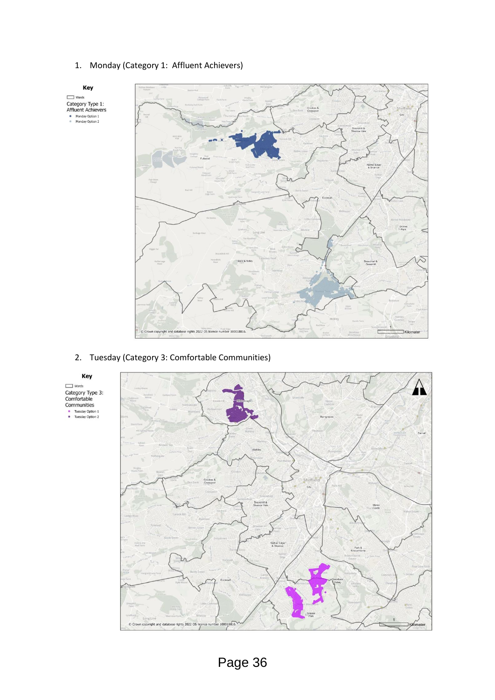# <span id="page-1-0"></span>1. Monday (Category 1: Affluent Achievers)

<span id="page-1-1"></span>

### 2. Tuesday (Category 3: Comfortable Communities)

Key  $\boxed{\qquad \qquad \text{Wards}}$ Category Type 3:<br>Comfortable Communities • Tuesday Option 1<br>• Tuesday Option 2

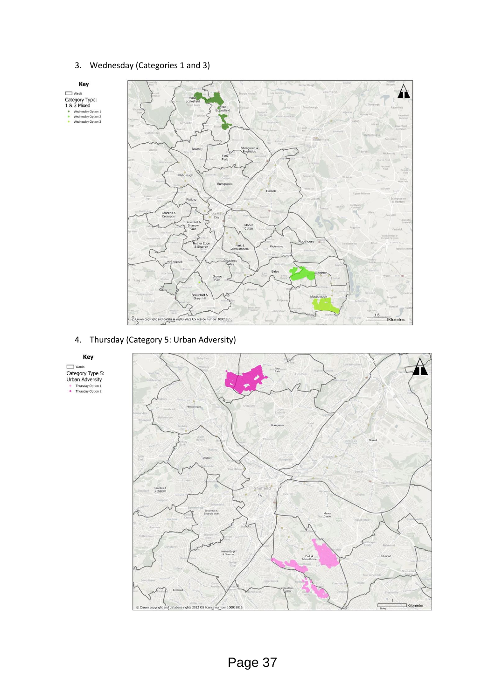#### <span id="page-2-1"></span>3. Wednesday (Categories 1 and 3)

<span id="page-2-0"></span>

# 4. Thursday (Category 5: Urban Adversity)



Key  $\boxed{\qquad \qquad \text{Wards}}$ Category Type 5:<br>Urban Adversity • Thursday Option 1<br>• Thursday Option 2